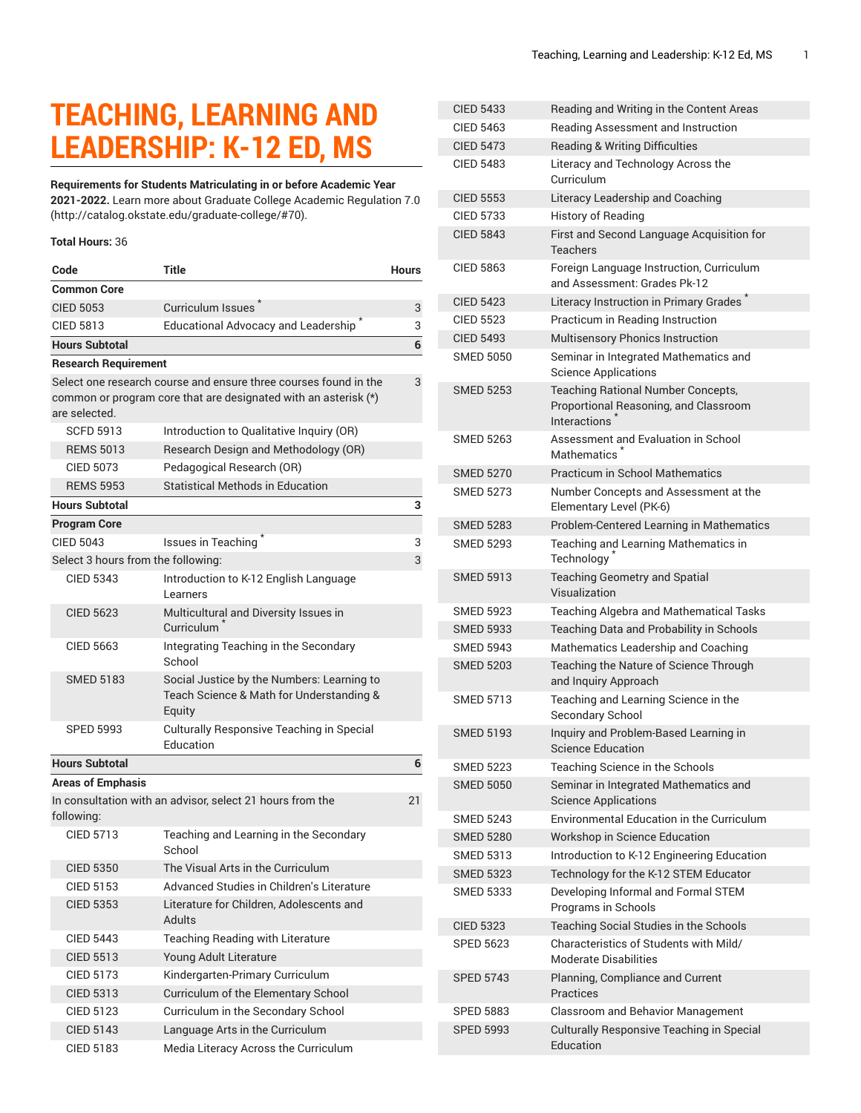## **TEACHING, LEARNING AND LEADERSHIP: K-12 ED, MS**

## **Requirements for Students Matriculating in or before Academic Year**

**2021-2022.** Learn more about [Graduate College Academic Regulation 7.0](http://catalog.okstate.edu/graduate-college/#70) (<http://catalog.okstate.edu/graduate-college/#70>).

## **Total Hours:** 36

| Code                                                                                                                                                 | <b>Title</b>                                                                                     | <b>Hours</b> |  |
|------------------------------------------------------------------------------------------------------------------------------------------------------|--------------------------------------------------------------------------------------------------|--------------|--|
| <b>Common Core</b>                                                                                                                                   |                                                                                                  |              |  |
| <b>CIED 5053</b>                                                                                                                                     | Curriculum Issues <sup>7</sup>                                                                   | 3            |  |
| <b>CIED 5813</b>                                                                                                                                     | Educational Advocacy and Leadership <sup>*</sup>                                                 | 3            |  |
| <b>Hours Subtotal</b>                                                                                                                                |                                                                                                  | 6            |  |
| <b>Research Requirement</b>                                                                                                                          |                                                                                                  |              |  |
| Select one research course and ensure three courses found in the<br>common or program core that are designated with an asterisk (*)<br>are selected. |                                                                                                  |              |  |
| <b>SCFD 5913</b>                                                                                                                                     | Introduction to Qualitative Inquiry (OR)                                                         |              |  |
| <b>REMS 5013</b>                                                                                                                                     | Research Design and Methodology (OR)                                                             |              |  |
| <b>CIED 5073</b>                                                                                                                                     | Pedagogical Research (OR)                                                                        |              |  |
| <b>REMS 5953</b>                                                                                                                                     | Statistical Methods in Education                                                                 |              |  |
| <b>Hours Subtotal</b>                                                                                                                                |                                                                                                  | 3            |  |
| <b>Program Core</b>                                                                                                                                  |                                                                                                  |              |  |
| <b>CIED 5043</b>                                                                                                                                     | Issues in Teaching                                                                               | 3            |  |
| Select 3 hours from the following:                                                                                                                   |                                                                                                  | 3            |  |
| <b>CIED 5343</b>                                                                                                                                     | Introduction to K-12 English Language<br>Learners                                                |              |  |
| CIFD 5623                                                                                                                                            | Multicultural and Diversity Issues in<br>Curriculum <sup>1</sup>                                 |              |  |
| <b>CIED 5663</b>                                                                                                                                     | Integrating Teaching in the Secondary<br>School                                                  |              |  |
| <b>SMED 5183</b>                                                                                                                                     | Social Justice by the Numbers: Learning to<br>Teach Science & Math for Understanding &<br>Equity |              |  |
| <b>SPED 5993</b>                                                                                                                                     | Culturally Responsive Teaching in Special<br>Education                                           |              |  |
| <b>Hours Subtotal</b>                                                                                                                                |                                                                                                  | 6            |  |
| <b>Areas of Emphasis</b>                                                                                                                             |                                                                                                  |              |  |
| In consultation with an advisor, select 21 hours from the<br>following:                                                                              |                                                                                                  |              |  |
| CIFD 5713                                                                                                                                            | Teaching and Learning in the Secondary<br>School                                                 |              |  |
| <b>CIED 5350</b>                                                                                                                                     | The Visual Arts in the Curriculum                                                                |              |  |
| CIED 5153                                                                                                                                            | Advanced Studies in Children's Literature                                                        |              |  |
| <b>CIED 5353</b>                                                                                                                                     | Literature for Children, Adolescents and<br>Adults                                               |              |  |
| <b>CIED 5443</b>                                                                                                                                     | Teaching Reading with Literature                                                                 |              |  |
| <b>CIED 5513</b>                                                                                                                                     | Young Adult Literature                                                                           |              |  |
| <b>CIED 5173</b>                                                                                                                                     | Kindergarten-Primary Curriculum                                                                  |              |  |
| <b>CIED 5313</b>                                                                                                                                     | Curriculum of the Elementary School                                                              |              |  |
| <b>CIED 5123</b>                                                                                                                                     | Curriculum in the Secondary School                                                               |              |  |
| <b>CIED 5143</b>                                                                                                                                     | Language Arts in the Curriculum                                                                  |              |  |
| <b>CIED 5183</b>                                                                                                                                     | Media Literacy Across the Curriculum                                                             |              |  |

| <b>CIED 5433</b> | Reading and Writing in the Content Areas                                                                        |
|------------------|-----------------------------------------------------------------------------------------------------------------|
| <b>CIED 5463</b> | Reading Assessment and Instruction                                                                              |
| <b>CIED 5473</b> | <b>Reading &amp; Writing Difficulties</b>                                                                       |
| CIED 5483        | Literacy and Technology Across the<br>Curriculum                                                                |
| <b>CIED 5553</b> | Literacy Leadership and Coaching                                                                                |
| <b>CIED 5733</b> | <b>History of Reading</b>                                                                                       |
| <b>CIED 5843</b> | First and Second Language Acquisition for<br>Teachers                                                           |
| CIED 5863        | Foreign Language Instruction, Curriculum<br>and Assessment: Grades Pk-12                                        |
| <b>CIED 5423</b> | Literacy Instruction in Primary Grades                                                                          |
| <b>CIED 5523</b> | Practicum in Reading Instruction                                                                                |
| <b>CIED 5493</b> | Multisensory Phonics Instruction                                                                                |
| <b>SMED 5050</b> | Seminar in Integrated Mathematics and<br><b>Science Applications</b>                                            |
| <b>SMED 5253</b> | <b>Teaching Rational Number Concepts,</b><br>Proportional Reasoning, and Classroom<br>Interactions <sup>*</sup> |
| <b>SMED 5263</b> | Assessment and Evaluation in School<br>Mathematics <sup>*</sup>                                                 |
| <b>SMED 5270</b> | <b>Practicum in School Mathematics</b>                                                                          |
| <b>SMED 5273</b> | Number Concepts and Assessment at the<br>Elementary Level (PK-6)                                                |
| <b>SMED 5283</b> | Problem-Centered Learning in Mathematics                                                                        |
| <b>SMED 5293</b> | Teaching and Learning Mathematics in<br>Technology                                                              |
| <b>SMED 5913</b> | <b>Teaching Geometry and Spatial</b><br>Visualization                                                           |
| <b>SMED 5923</b> | <b>Teaching Algebra and Mathematical Tasks</b>                                                                  |
| <b>SMED 5933</b> | Teaching Data and Probability in Schools                                                                        |
| <b>SMED 5943</b> | Mathematics Leadership and Coaching                                                                             |
| <b>SMED 5203</b> | Teaching the Nature of Science Through<br>and Inquiry Approach                                                  |
| <b>SMED 5713</b> | Teaching and Learning Science in the<br>Secondary School                                                        |
| <b>SMED 5193</b> | Inquiry and Problem-Based Learning in<br><b>Science Education</b>                                               |
| <b>SMED 5223</b> | Teaching Science in the Schools                                                                                 |
| <b>SMED 5050</b> | Seminar in Integrated Mathematics and<br><b>Science Applications</b>                                            |
| <b>SMED 5243</b> | Environmental Education in the Curriculum                                                                       |
| <b>SMED 5280</b> | Workshop in Science Education                                                                                   |
| <b>SMED 5313</b> | Introduction to K-12 Engineering Education                                                                      |
| <b>SMED 5323</b> | Technology for the K-12 STEM Educator                                                                           |
| <b>SMED 5333</b> | Developing Informal and Formal STEM<br>Programs in Schools                                                      |
| CIED 5323        | Teaching Social Studies in the Schools                                                                          |
| <b>SPED 5623</b> | Characteristics of Students with Mild/<br><b>Moderate Disabilities</b>                                          |
| <b>SPED 5743</b> | Planning, Compliance and Current<br>Practices                                                                   |
| <b>SPED 5883</b> | Classroom and Behavior Management                                                                               |
| <b>SPED 5993</b> | Culturally Responsive Teaching in Special<br>Education                                                          |